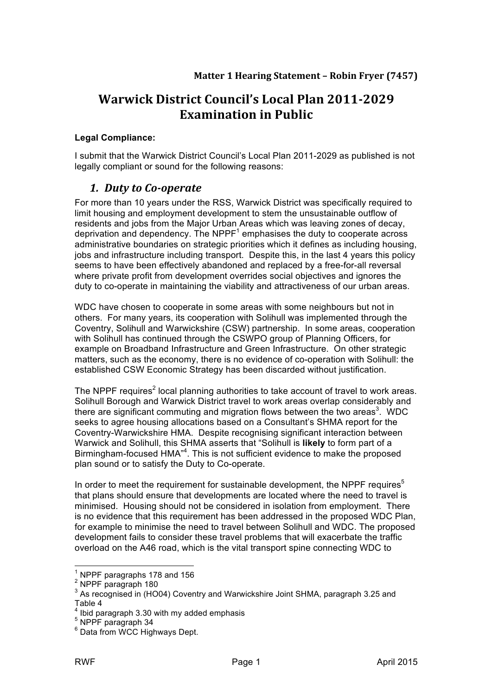# **Warwick District Council's Local Plan 2011-2029 Examination in Public**

#### **Legal Compliance:**

I submit that the Warwick District Council's Local Plan 2011-2029 as published is not legally compliant or sound for the following reasons:

### *1. Duty to Co-operate*

For more than 10 years under the RSS, Warwick District was specifically required to limit housing and employment development to stem the unsustainable outflow of residents and jobs from the Major Urban Areas which was leaving zones of decay, deprivation and dependency. The NPPF $<sup>1</sup>$  emphasises the duty to cooperate across</sup> administrative boundaries on strategic priorities which it defines as including housing, jobs and infrastructure including transport. Despite this, in the last 4 years this policy seems to have been effectively abandoned and replaced by a free-for-all reversal where private profit from development overrides social objectives and ignores the duty to co-operate in maintaining the viability and attractiveness of our urban areas.

WDC have chosen to cooperate in some areas with some neighbours but not in others. For many years, its cooperation with Solihull was implemented through the Coventry, Solihull and Warwickshire (CSW) partnership. In some areas, cooperation with Solihull has continued through the CSWPO group of Planning Officers, for example on Broadband Infrastructure and Green Infrastructure. On other strategic matters, such as the economy, there is no evidence of co-operation with Solihull: the established CSW Economic Strategy has been discarded without justification.

The NPPF requires<sup>2</sup> local planning authorities to take account of travel to work areas. Solihull Borough and Warwick District travel to work areas overlap considerably and there are significant commuting and migration flows between the two areas<sup>3</sup>. WDC seeks to agree housing allocations based on a Consultant's SHMA report for the Coventry-Warwickshire HMA. Despite recognising significant interaction between Warwick and Solihull, this SHMA asserts that "Solihull is **likely** to form part of a Birmingham-focused HMA<sup>"4</sup>. This is not sufficient evidence to make the proposed plan sound or to satisfy the Duty to Co-operate.

In order to meet the requirement for sustainable development, the NPPF requires $5$ that plans should ensure that developments are located where the need to travel is minimised. Housing should not be considered in isolation from employment. There is no evidence that this requirement has been addressed in the proposed WDC Plan, for example to minimise the need to travel between Solihull and WDC. The proposed development fails to consider these travel problems that will exacerbate the traffic overload on the A46 road, which is the vital transport spine connecting WDC to

<sup>&</sup>lt;sup>1</sup> NPPF paragraphs 178 and 156  $^2$  NPPF paragraph 180

<sup>3</sup> Ni 1 i paragraphi i.o.<br><sup>3</sup> As recognised in (HO04) Coventry and Warwickshire Joint SHMA, paragraph 3.25 and Table 4

 $4$  Ibid paragraph 3.30 with my added emphasis

 $5$  NPPF paragraph 34

<sup>6</sup> Data from WCC Highways Dept.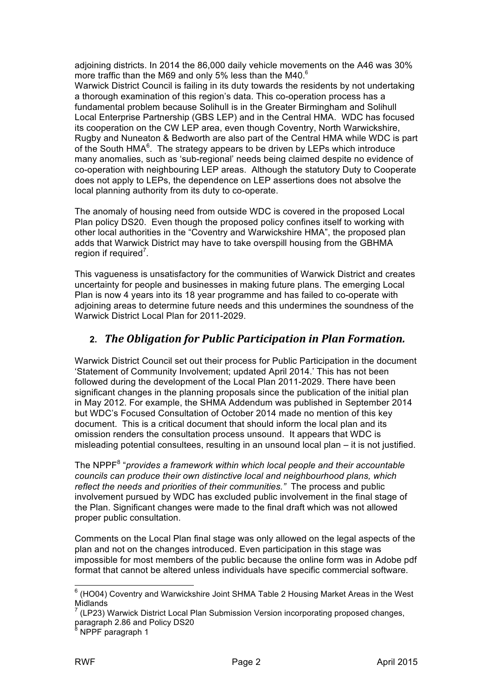adjoining districts. In 2014 the 86,000 daily vehicle movements on the A46 was 30% more traffic than the M69 and only 5% less than the M40. $^6$ 

Warwick District Council is failing in its duty towards the residents by not undertaking a thorough examination of this region's data. This co-operation process has a fundamental problem because Solihull is in the Greater Birmingham and Solihull Local Enterprise Partnership (GBS LEP) and in the Central HMA. WDC has focused its cooperation on the CW LEP area, even though Coventry, North Warwickshire, Rugby and Nuneaton & Bedworth are also part of the Central HMA while WDC is part of the South HMA $<sup>6</sup>$ . The strategy appears to be driven by LEPs which introduce</sup> many anomalies, such as 'sub-regional' needs being claimed despite no evidence of co-operation with neighbouring LEP areas. Although the statutory Duty to Cooperate does not apply to LEPs, the dependence on LEP assertions does not absolve the local planning authority from its duty to co-operate.

The anomaly of housing need from outside WDC is covered in the proposed Local Plan policy DS20. Even though the proposed policy confines itself to working with other local authorities in the "Coventry and Warwickshire HMA", the proposed plan adds that Warwick District may have to take overspill housing from the GBHMA region if required<sup>7</sup>.

This vagueness is unsatisfactory for the communities of Warwick District and creates uncertainty for people and businesses in making future plans. The emerging Local Plan is now 4 years into its 18 year programme and has failed to co-operate with adjoining areas to determine future needs and this undermines the soundness of the Warwick District Local Plan for 2011-2029.

# 2. *The Obligation for Public Participation in Plan Formation.*

Warwick District Council set out their process for Public Participation in the document 'Statement of Community Involvement; updated April 2014.' This has not been followed during the development of the Local Plan 2011-2029. There have been significant changes in the planning proposals since the publication of the initial plan in May 2012. For example, the SHMA Addendum was published in September 2014 but WDC's Focused Consultation of October 2014 made no mention of this key document. This is a critical document that should inform the local plan and its omission renders the consultation process unsound. It appears that WDC is misleading potential consultees, resulting in an unsound local plan – it is not justified.

The NPPF<sup>8</sup> "*provides a framework within which local people and their accountable councils can produce their own distinctive local and neighbourhood plans, which reflect the needs and priorities of their communities."* The process and public involvement pursued by WDC has excluded public involvement in the final stage of the Plan. Significant changes were made to the final draft which was not allowed proper public consultation.

Comments on the Local Plan final stage was only allowed on the legal aspects of the plan and not on the changes introduced. Even participation in this stage was impossible for most members of the public because the online form was in Adobe pdf format that cannot be altered unless individuals have specific commercial software.

 $6$  (HO04) Coventry and Warwickshire Joint SHMA Table 2 Housing Market Areas in the West Midlands

 $^7$  (LP23) Warwick District Local Plan Submission Version incorporating proposed changes, paragraph 2.86 and Policy DS20

 $N$  NPPF paragraph 1